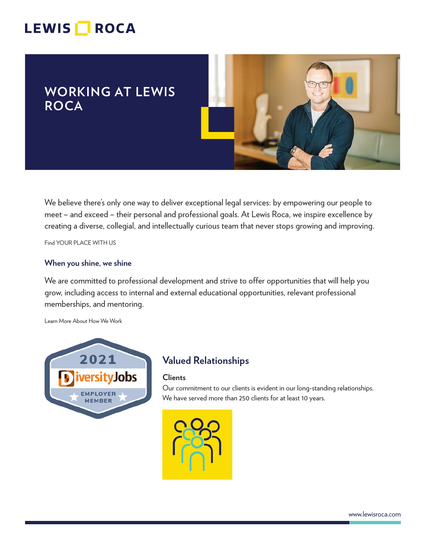# LEWIS **NOCA**

## **WORKING AT LEWIS ROCA**



We believe there's only one way to deliver exceptional legal services: by empowering our people to meet – and exceed – their personal and professional goals. At Lewis Roca, we inspire excellence by creating a diverse, collegial, and intellectually curious team that never stops growing and improving.

Find YOUR PLACE WITH US

#### **When you shine, we shine**

We are committed to professional development and strive to offer opportunities that will help you grow, including access to internal and external educational opportunities, relevant professional memberships, and mentoring.

Learn More About How We Work



## **Valued Relationships**

#### **Clients**

Our commitment to our clients is evident in our long-standing relationships. We have served more than 250 clients for at least 10 years.

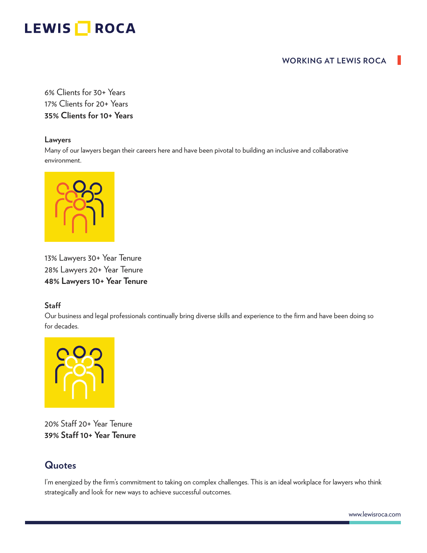## LEWIS **ROCA**

### **WORKING AT LEWIS ROCA**

6% Clients for 30+ Years 17% Clients for 20+ Years **35% Clients for 10+ Years**

#### **Lawyers**

Many of our lawyers began their careers here and have been pivotal to building an inclusive and collaborative environment.



13% Lawyers 30+ Year Tenure 28% Lawyers 20+ Year Tenure **48% Lawyers 10+ Year Tenure**

#### **Staff**

Our business and legal professionals continually bring diverse skills and experience to the firm and have been doing so for decades.



20% Staff 20+ Year Tenure **39% Staff 10+ Year Tenure**

## **Quotes**

I'm energized by the firm's commitment to taking on complex challenges. This is an ideal workplace for lawyers who think strategically and look for new ways to achieve successful outcomes.